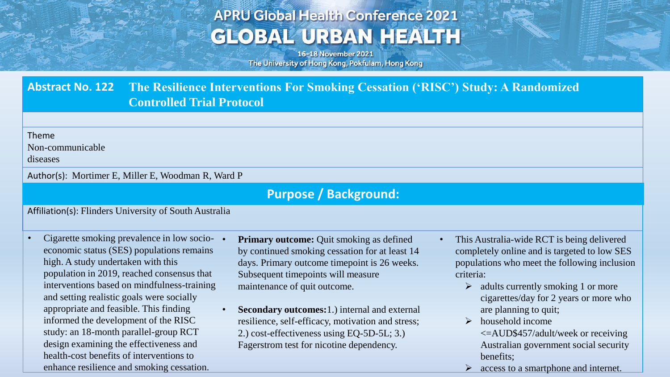## **APRU Global Health Conference 2021 GLOBAL URBAN HEALTH**

16-18 November 2021 The University of Hong Kong, Pokfulam, Hong Kong

**Abstract No. 122 The Resilience Interventions For Smoking Cessation ('RISC') Study: A Randomized Controlled Trial Protocol**

Theme

Non-communicable

diseases

Author(s): Mortimer E, Miller E, Woodman R, Ward P

## **Purpose / Background:**

Affiliation(s): Flinders University of South Australia

- Cigarette smoking prevalence in low socio- economic status (SES) populations remains high. A study undertaken with this population in 2019, reached consensus that interventions based on mindfulness-training and setting realistic goals were socially appropriate and feasible. This finding informed the development of the RISC study: an 18-month parallel-group RCT design examining the effectiveness and health-cost benefits of interventions to enhance resilience and smoking cessation.
- **Primary outcome:** Quit smoking as defined by continued smoking cessation for at least 14 days. Primary outcome timepoint is 26 weeks. Subsequent timepoints will measure maintenance of quit outcome.
- **Secondary outcomes:**1.) internal and external resilience, self-efficacy, motivation and stress; 2.) cost-effectiveness using EQ-5D-5L; 3.) Fagerstrom test for nicotine dependency.
- This Australia-wide RCT is being delivered completely online and is targeted to low SES populations who meet the following inclusion criteria:
	- $\triangleright$  adults currently smoking 1 or more cigarettes/day for 2 years or more who are planning to quit;
	- $\triangleright$  household income <=AUD\$457/adult/week or receiving Australian government social security benefits;
	- access to a smartphone and internet.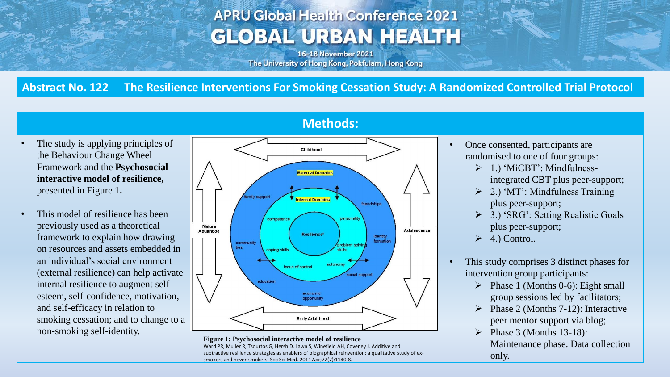# **APRU Global Health Conference 2021 GLOBAL URBAN HEALTH**

16-18 November 2021 The University of Hong Kong, Pokfulam, Hong Kong

## **Abstract No. 122 The Resilience Interventions For Smoking Cessation Study: A Randomized Controlled Trial Protocol**

- The study is applying principles of the Behaviour Change Wheel Framework and the **Psychosocial interactive model of resilience,**  presented in Figure 1**.**
- This model of resilience has been previously used as a theoretical framework to explain how drawing on resources and assets embedded in an individual's social environment (external resilience) can help activate internal resilience to augment selfesteem, self-confidence, motivation, and self-efficacy in relation to smoking cessation; and to change to a non-smoking self-identity.



#### **Figure 1: Psychosocial interactive model of resilience** Ward PR, Muller R, Tsourtos G, Hersh D, Lawn S, Winefield AH, Coveney J. Additive and subtractive resilience strategies as enablers of biographical reinvention: a qualitative study of exsmokers and never-smokers. Soc Sci Med. 2011 Apr;72(7):1140-8.

### **Methods:**

- Once consented, participants are randomised to one of four groups:
	- > 1.) 'MiCBT': Mindfulnessintegrated CBT plus peer-support;
	- 2.) 'MT': Mindfulness Training plus peer-support;
	- 3.) 'SRG': Setting Realistic Goals plus peer-support;
	- $\triangleright$  4.) Control.
- This study comprises 3 distinct phases for intervention group participants:
	- $\triangleright$  Phase 1 (Months 0-6): Eight small group sessions led by facilitators;
	- $\triangleright$  Phase 2 (Months 7-12): Interactive peer mentor support via blog;
	- $\triangleright$  Phase 3 (Months 13-18): Maintenance phase. Data collection only.